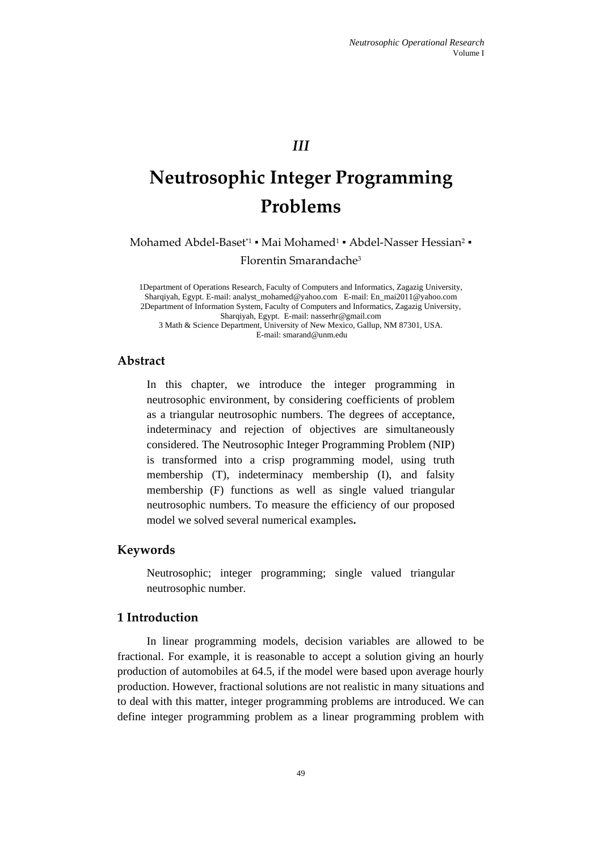# *III*

# **Neutrosophic Integer Programming Problems**

Mohamed Abdel-Baset\*1 ▪ Mai Mohamed<sup>1</sup> ▪ Abdel-Nasser Hessian<sup>2</sup> ▪

Florentin Smarandache<sup>3</sup>

1Department of Operations Research, Faculty of Computers and Informatics, Zagazig University, Sharqiyah, Egypt. E-mail[: analyst\\_mohamed@yahoo.com](mailto:analyst_mohamed@yahoo.com) E-mail: En\_mai2011@yahoo.com 2Department of Information System, Faculty of Computers and Informatics, Zagazig University, Sharqiyah, Egypt. E-mail: [nasserhr@gmail.com](mailto:nasserhr@gmail.com) 3 Math & Science Department, University of New Mexico, Gallup, NM 87301, USA. E-mail[: smarand@unm.edu](mailto:smarand@unm.edu)

# **Abstract**

In this chapter, we introduce the integer programming in neutrosophic environment, by considering coefficients of problem as a triangular neutrosophic numbers. The degrees of acceptance, indeterminacy and rejection of objectives are simultaneously considered. The Neutrosophic Integer Programming Problem (NIP) is transformed into a crisp programming model, using truth membership (T), indeterminacy membership (I), and falsity membership (F) functions as well as single valued triangular neutrosophic numbers. To measure the efficiency of our proposed model we solved several numerical examples**.**

### **Keywords**

Neutrosophic; integer programming; single valued triangular neutrosophic number.

# **1 Introduction**

In linear programming models, decision variables are allowed to be fractional. For example, it is reasonable to accept a solution giving an hourly production of automobiles at 64.5, if the model were based upon average hourly production. However, fractional solutions are not realistic in many situations and to deal with this matter, integer programming problems are introduced. We can define integer programming problem as a linear programming problem with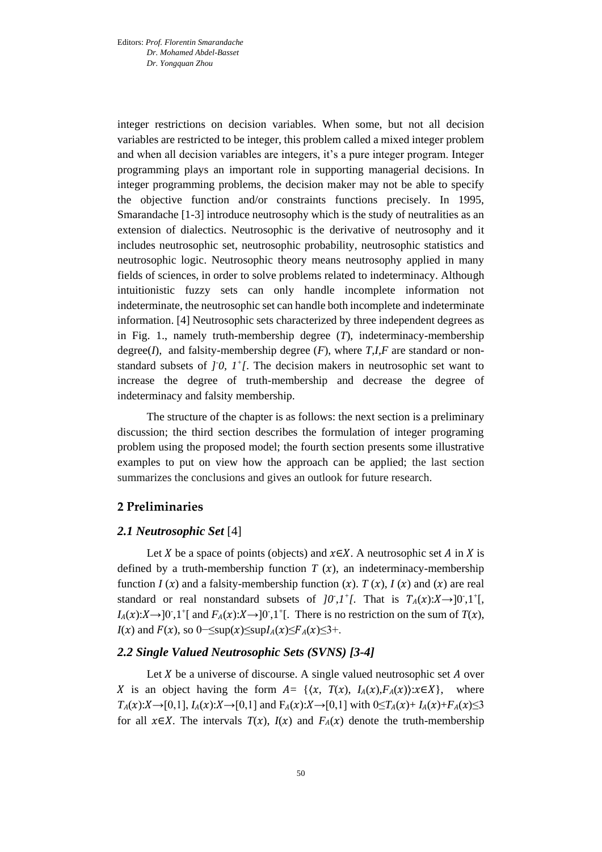integer restrictions on decision variables. When some, but not all decision variables are restricted to be integer, this problem called a mixed integer problem and when all decision variables are integers, it's a pure integer program. Integer programming plays an important role in supporting managerial decisions. In integer programming problems, the decision maker may not be able to specify the objective function and/or constraints functions precisely. In 1995, Smarandache [1-3] introduce neutrosophy which is the study of neutralities as an extension of dialectics. Neutrosophic is the derivative of neutrosophy and it includes neutrosophic set, neutrosophic probability, neutrosophic statistics and neutrosophic logic. Neutrosophic theory means neutrosophy applied in many fields of sciences, in order to solve problems related to indeterminacy. Although intuitionistic fuzzy sets can only handle incomplete information not indeterminate, the neutrosophic set can handle both incomplete and indeterminate information. [4] Neutrosophic sets characterized by three independent degrees as in Fig. 1., namely truth-membership degree (*T*), indeterminacy-membership degree(*I*), and falsity-membership degree (*F*), where *T,I,F* are standard or nonstandard subsets of  $\int$  *[0, 1<sup>+</sup>* $\int$ . The decision makers in neutrosophic set want to increase the degree of truth-membership and decrease the degree of indeterminacy and falsity membership.

The structure of the chapter is as follows: the next section is a preliminary discussion; the third section describes the formulation of integer programing problem using the proposed model; the fourth section presents some illustrative examples to put on view how the approach can be applied; the last section summarizes the conclusions and gives an outlook for future research.

### **2 Preliminaries**

#### *2.1 Neutrosophic Set* [4]

Let *X* be a space of points (objects) and  $x \in X$ . A neutrosophic set *A* in *X* is defined by a truth-membership function  $T(x)$ , an indeterminacy-membership function  $I(x)$  and a falsity-membership function  $(x)$ .  $T(x)$ ,  $I(x)$  and  $(x)$  are real standard or real nonstandard subsets of  $J\mathcal{O}, I^+I$ . That is  $T_A(x):X \rightarrow [0^-,1^+]$ ,  $I_A(x):X \to [0^{\circ}, 1^+]$  and  $F_A(x):X \to [0^{\circ}, 1^+]$ . There is no restriction on the sum of  $T(x)$ , *I*(x) and  $F(x)$ , so 0–≤sup(x)≤sup $I_A(x)$ ≤ $F_A(x)$ ≤3+.

### *2.2 Single Valued Neutrosophic Sets (SVNS) [3-4]*

Let  $X$  be a universe of discourse. A single valued neutrosophic set  $A$  over *X* is an object having the form  $A = \{ \langle x, T(x), I_A(x), F_A(x) \rangle : x \in X \}$ , where *T*<sub>A</sub>(*x*):*X*→[0,1], *I*<sub>A</sub>(*x*):*X*→[0,1] and F<sub>A</sub>(*x*):*X*→[0,1] with 0≤*T*<sub>A</sub>(*x*)+ *I*<sub>A</sub>(*x*)+*F*<sub>A</sub>(*x*)≤3 for all  $x \in X$ . The intervals  $T(x)$ ,  $I(x)$  and  $F_A(x)$  denote the truth-membership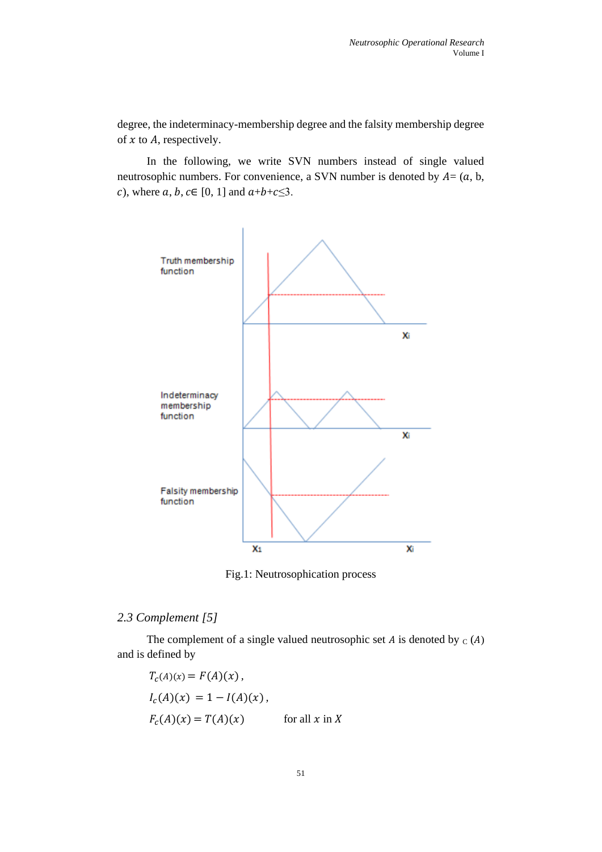degree, the indeterminacy-membership degree and the falsity membership degree of  $x$  to  $A$ , respectively.

In the following, we write SVN numbers instead of single valued neutrosophic numbers. For convenience, a SVN number is denoted by  $A = (a, b, c)$ c), where  $a, b, c \in [0, 1]$  and  $a+b+c \leq 3$ .



Fig.1: Neutrosophication process

# *2.3 Complement [5]*

The complement of a single valued neutrosophic set  $A$  is denoted by  $_C(A)$ and is defined by

$$
T_c(A)(x) = F(A)(x),
$$
  
\n
$$
I_c(A)(x) = 1 - I(A)(x),
$$
  
\n
$$
F_c(A)(x) = T(A)(x) \qquad \text{for all } x \text{ in } X
$$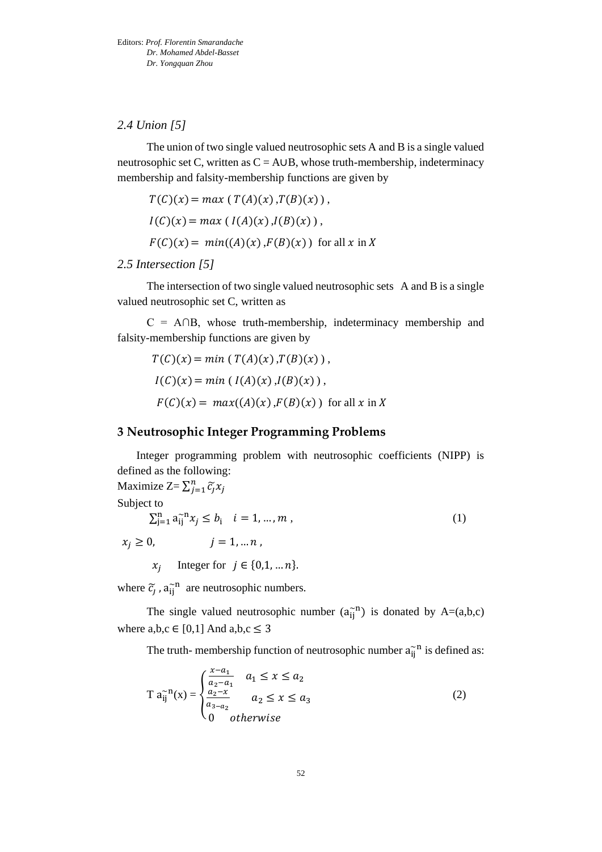### *2.4 Union [5]*

The union of two single valued neutrosophic sets A and B is a single valued neutrosophic set C, written as  $C = A \cup B$ , whose truth-membership, indeterminacy membership and falsity-membership functions are given by

$$
T(C)(x) = max (T(A)(x), T(B)(x)),
$$
  
\n
$$
I(C)(x) = max (I(A)(x), I(B)(x)),
$$
  
\n
$$
F(C)(x) = min((A)(x), F(B)(x)) \text{ for all } x \text{ in } X
$$

### *2.5 Intersection [5]*

The intersection of two single valued neutrosophic sets A and B is a single valued neutrosophic set C, written as

 $C = A \cap B$ , whose truth-membership, indeterminacy membership and falsity-membership functions are given by

$$
T(C)(x) = min(T(A)(x), T(B)(x)),
$$
  
\n
$$
I(C)(x) = min(I(A)(x), I(B)(x)),
$$
  
\n
$$
F(C)(x) = max((A)(x), F(B)(x)) \text{ for all } x \text{ in } X
$$

### **3 Neutrosophic Integer Programming Problems**

Integer programming problem with neutrosophic coefficients (NIPP) is defined as the following:

Maximize Z=  $\sum_{j=1}^{n} \widetilde{c}_j x_j$ Subject to  $\sum_{j=1}^{n} a_{ij}^{\infty} x_j \le b_i \quad i = 1, ..., m$ , (1)  $x_j \ge 0,$   $j = 1, ... n,$ *x<sub>j</sub>* Integer for  $j \in \{0, 1, ..., n\}$ .

where  $\tilde{c}_j$ ,  $a_{ij}^n$  are neutrosophic numbers.

The single valued neutrosophic number  $(a_{ij}^n)$  is donated by A=(a,b,c) where  $a,b,c \in [0,1]$  And  $a,b,c \leq 3$ 

The truth-membership function of neutrosophic number  $a_{ij}^n$  is defined as:

$$
T a_{ij}^{n}(x) = \begin{cases} \frac{x - a_1}{a_2 - a_1} & a_1 \le x \le a_2\\ \frac{a_2 - x}{a_3 - a_2} & a_2 \le x \le a_3\\ 0 & otherwise \end{cases}
$$
(2)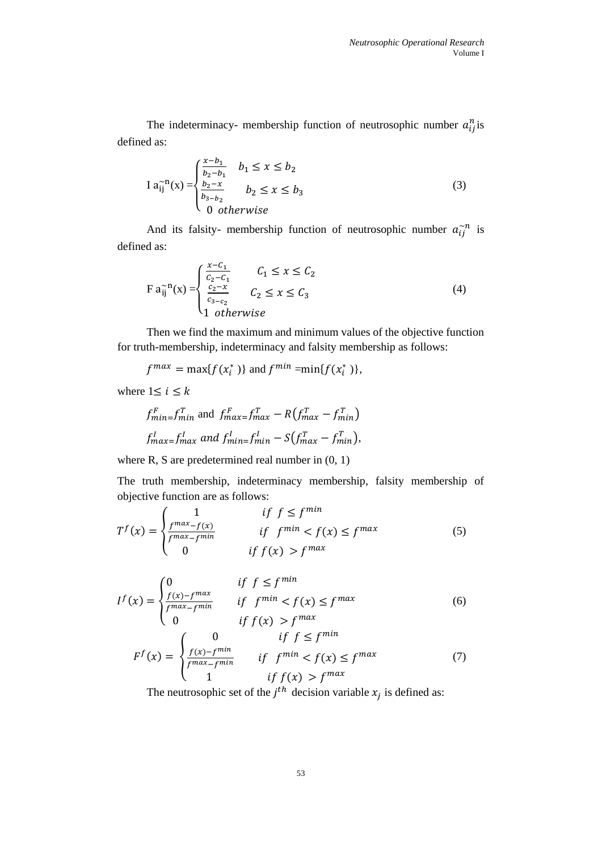The indeterminacy- membership function of neutrosophic number  $a_{ij}^n$  is defined as:

$$
I a_{ij}^{n}(x) = \begin{cases} \frac{x - b_1}{b_2 - b_1} & b_1 \le x \le b_2\\ \frac{b_2 - x}{b_3 - b_2} & b_2 \le x \le b_3\\ 0 & otherwise \end{cases}
$$
(3)

And its falsity- membership function of neutrosophic number  $a_{ij}^{\sim n}$  is defined as:

$$
F a_{ij}^{n}(x) = \begin{cases} \frac{x - c_1}{c_2 - c_1} & C_1 \le x \le C_2\\ \frac{c_2 - x}{c_3 - c_2} & C_2 \le x \le C_3\\ 1 & otherwise \end{cases}
$$
(4)

Then we find the maximum and minimum values of the objective function for truth-membership, indeterminacy and falsity membership as follows:

 $f^{max} = \max\{f(x_i^*)\}$  and  $f^{min} = \min\{f(x_i^*)\},$ 

where  $1 \le i \le k$ 

$$
f_{min}^F = f_{min}^T \text{ and } f_{max}^F = f_{max}^T - R(f_{max}^T - f_{min}^T)
$$
  

$$
f_{max}^I = f_{max}^I \text{ and } f_{min}^I = f_{min}^I - S(f_{max}^T - f_{min}^T),
$$

where R, S are predetermined real number in  $(0, 1)$ 

The truth membership, indeterminacy membership, falsity membership of objective function are as follows:

$$
T^{f}(x) = \begin{cases} 1 & \text{if } f \leq f^{min} \\ \frac{f^{max}-f(x)}{f^{max}-f^{min}} & \text{if } f^{min} < f(x) \leq f^{max} \\ 0 & \text{if } f(x) > f^{max} \end{cases}
$$
(5)

$$
I^f(x) = \begin{cases} 0 & \text{if } f \le f^{\min} \\ \frac{f(x) - f^{\max}}{f^{\max} - f^{\min}} & \text{if } f^{\min} < f(x) \le f^{\max} \\ 0 & \text{if } f(x) > f^{\max} \end{cases} \tag{6}
$$

$$
Ff(x) = \begin{cases} 0 & \text{if } f \le f^{max} \\ \frac{f(x) - f^{min}}{f^{max} - f^{min}} & \text{if } f^{min} < f(x) \le f^{max} \\ 1 & \text{if } f(x) > f^{max} \end{cases} \tag{7}
$$

The neutrosophic set of the  $j<sup>th</sup>$  decision variable  $x_j$  is defined as: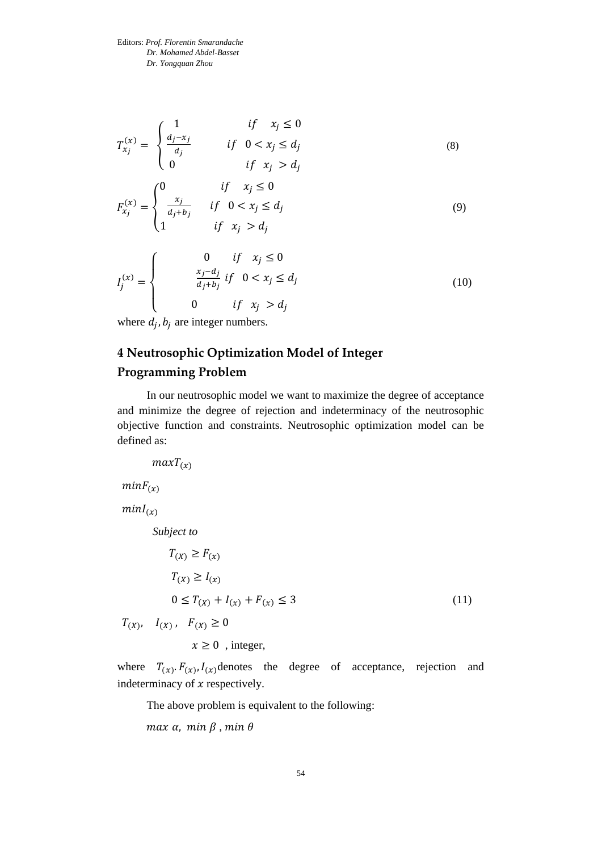$$
T_{x_j}^{(x)} = \begin{cases} 1 & \text{if } x_j \le 0 \\ \frac{d_j - x_j}{d_j} & \text{if } 0 < x_j \le d_j \\ 0 & \text{if } x_j > d_j \end{cases} \tag{8}
$$
\n
$$
F_{x_j}^{(x)} = \begin{cases} 0 & \text{if } x_j \le 0 \\ \frac{x_j}{d_j + b_j} & \text{if } 0 < x_j \le d_j \\ 1 & \text{if } x_j > d_j \end{cases} \tag{9}
$$

$$
I_j^{(x)} = \begin{cases} 0 & \text{if } x_j \le 0\\ \frac{x_j - d_j}{d_j + b_j} & \text{if } 0 < x_j \le d_j\\ 0 & \text{if } x_j > d_j \end{cases} \tag{10}
$$

where  $d_j$ ,  $b_j$  are integer numbers.

# **4 Neutrosophic Optimization Model of Integer Programming Problem**

In our neutrosophic model we want to maximize the degree of acceptance and minimize the degree of rejection and indeterminacy of the neutrosophic objective function and constraints. Neutrosophic optimization model can be defined as:

$$
\max T_{(x)}
$$
  
\n
$$
\min F_{(x)}
$$
  
\n
$$
\min I_{(x)}
$$
  
\n
$$
Subject to
$$
  
\n
$$
T_{(X)} \ge F_{(x)}
$$
  
\n
$$
T_{(X)} \ge I_{(x)}
$$
  
\n
$$
0 \le T_{(X)} + I_{(x)} + F_{(x)} \le 3
$$
  
\n
$$
T_{(X)}, \quad I_{(X)}, \quad F_{(X)} \ge 0
$$
  
\n
$$
x \ge 0, \text{ integer,}
$$
  
\n(11)

where  $T(x)$ ,  $F(x)$ ,  $I(x)$  denotes the degree of acceptance, rejection and indeterminacy of  $x$  respectively.

The above problem is equivalent to the following:

 $max\ \alpha,\ min\ \beta$  ,  $min\ \theta$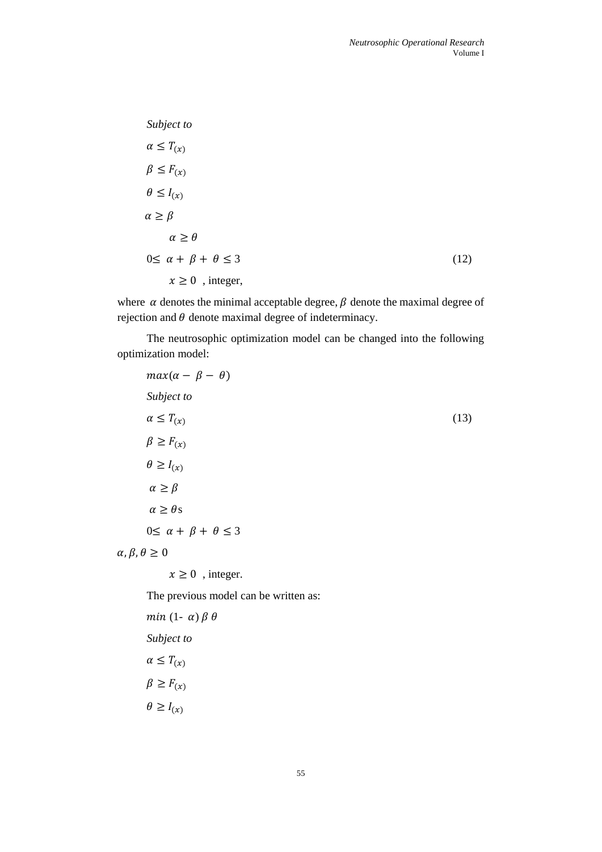*Subject to*   $\alpha \leq T_{(x)}$  $\beta \leq F_{(x)}$  $\theta \leq I_{(x)}$  $\alpha \geq \beta$  $\alpha \geq \theta$  $0 \leq \alpha + \beta + \theta \leq 3$  (12)  $x \geq 0$ , integer,

where  $\alpha$  denotes the minimal acceptable degree,  $\beta$  denote the maximal degree of rejection and  $\theta$  denote maximal degree of indeterminacy.

The neutrosophic optimization model can be changed into the following optimization model:

$$
max(\alpha - \beta - \theta)
$$
  
Subject to  

$$
\alpha \le T_{(x)}
$$
  

$$
\beta \ge F_{(x)}
$$
  

$$
\theta \ge I_{(x)}
$$
  

$$
\alpha \ge \beta
$$
  

$$
\alpha \ge \theta
$$
  

$$
0 \le \alpha + \beta + \theta \le 3
$$
  
(13)

 $\alpha, \beta, \theta \geq 0$ 

 $x \geq 0$ , integer.

The previous model can be written as:

$$
\min (1 - \alpha) \beta \theta
$$
  
Subject to  

$$
\alpha \le T_{(x)}
$$
  

$$
\beta \ge F_{(x)}
$$
  

$$
\theta \ge I_{(x)}
$$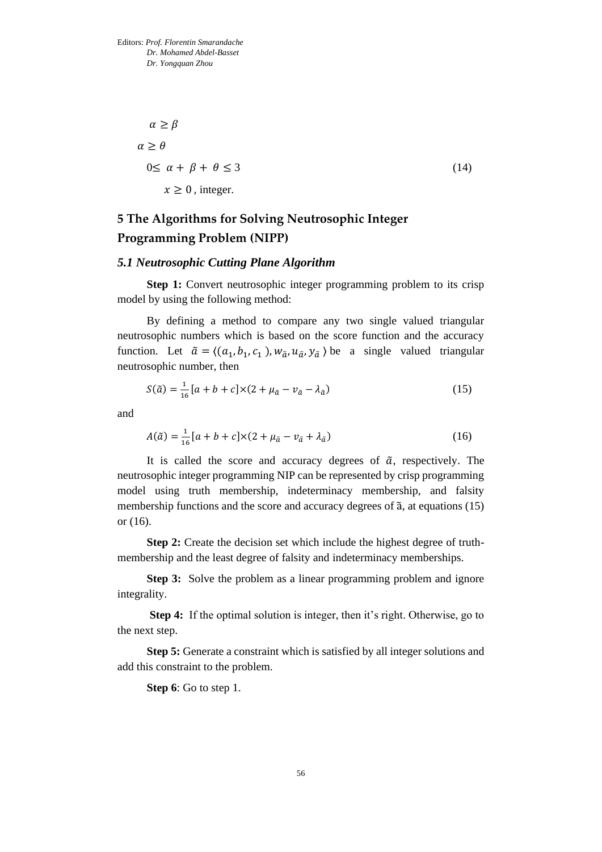$$
\alpha \ge \beta
$$
  
\n
$$
\alpha \ge \theta
$$
  
\n
$$
0 \le \alpha + \beta + \theta \le 3
$$
  
\n
$$
x \ge 0, \text{ integer.}
$$
\n(14)

# **5 The Algorithms for Solving Neutrosophic Integer Programming Problem (NIPP)**

### *5.1 Neutrosophic Cutting Plane Algorithm*

**Step 1:** Convert neutrosophic integer programming problem to its crisp model by using the following method:

By defining a method to compare any two single valued triangular neutrosophic numbers which is based on the score function and the accuracy function. Let  $\tilde{a} = \langle (a_1, b_1, c_1), w_{\tilde{a}}, u_{\tilde{a}}, y_{\tilde{a}} \rangle$  be a single valued triangular neutrosophic number, then

$$
S(\tilde{a}) = \frac{1}{16} [a+b+c] \times (2+\mu_{\tilde{a}} - \nu_{\tilde{a}} - \lambda_{\tilde{a}})
$$
\n(15)

and

$$
A(\tilde{a}) = \frac{1}{16} [a+b+c] \times (2+\mu_{\tilde{a}} - \nu_{\tilde{a}} + \lambda_{\tilde{a}})
$$
\n(16)

It is called the score and accuracy degrees of  $\tilde{a}$ , respectively. The neutrosophic integer programming NIP can be represented by crisp programming model using truth membership, indeterminacy membership, and falsity membership functions and the score and accuracy degrees of ã, at equations (15) or (16).

**Step 2:** Create the decision set which include the highest degree of truthmembership and the least degree of falsity and indeterminacy memberships.

**Step 3:** Solve the problem as a linear programming problem and ignore integrality.

**Step 4:** If the optimal solution is integer, then it's right. Otherwise, go to the next step.

**Step 5:** Generate a constraint which is satisfied by all integer solutions and add this constraint to the problem.

**Step 6**: Go to step 1.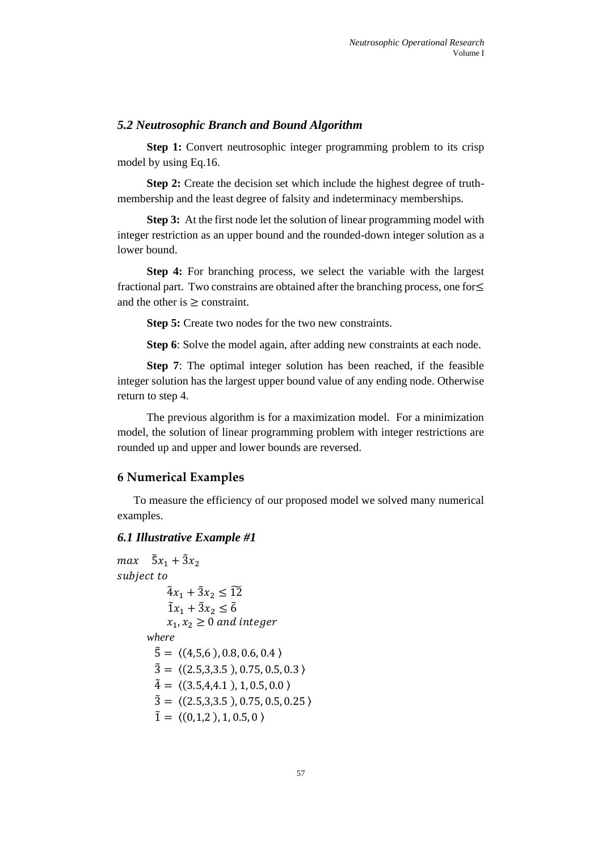# *5.2 Neutrosophic Branch and Bound Algorithm*

**Step 1:** Convert neutrosophic integer programming problem to its crisp model by using Eq.16.

**Step 2:** Create the decision set which include the highest degree of truthmembership and the least degree of falsity and indeterminacy memberships.

**Step 3:** At the first node let the solution of linear programming model with integer restriction as an upper bound and the rounded-down integer solution as a lower bound.

**Step 4:** For branching process, we select the variable with the largest fractional part. Two constrains are obtained after the branching process, one for≤ and the other is ≥ constraint.

**Step 5:** Create two nodes for the two new constraints.

**Step 6**: Solve the model again, after adding new constraints at each node.

**Step 7**: The optimal integer solution has been reached, if the feasible integer solution has the largest upper bound value of any ending node. Otherwise return to step 4.

The previous algorithm is for a maximization model. For a minimization model, the solution of linear programming problem with integer restrictions are rounded up and upper and lower bounds are reversed.

# **6 Numerical Examples**

To measure the efficiency of our proposed model we solved many numerical examples.

# *6.1 Illustrative Example #1*

```
max \quad 5x_1 + 3x_2subject to
        \tilde{4}x_1 + \tilde{3}x_2 \leq \tilde{12}\tilde{1}x_1 + \tilde{3}x_2 \leq \tilde{6}x_1, x_2 \geq 0 and integer
where 
   \tilde{5} = \langle (4,5,6), 0.8, 0.6, 0.4 \rangle\tilde{3} = \langle (2.5,3,3.5), 0.75, 0.5, 0.3 \rangle\tilde{4} = \langle (3.5, 4, 4.1), 1, 0.5, 0.0 \rangle\tilde{3} = \langle (2.5,3,3.5), 0.75, 0.5, 0.25 \rangle\tilde{1} = \langle (0,1,2), 1, 0.5, 0 \rangle
```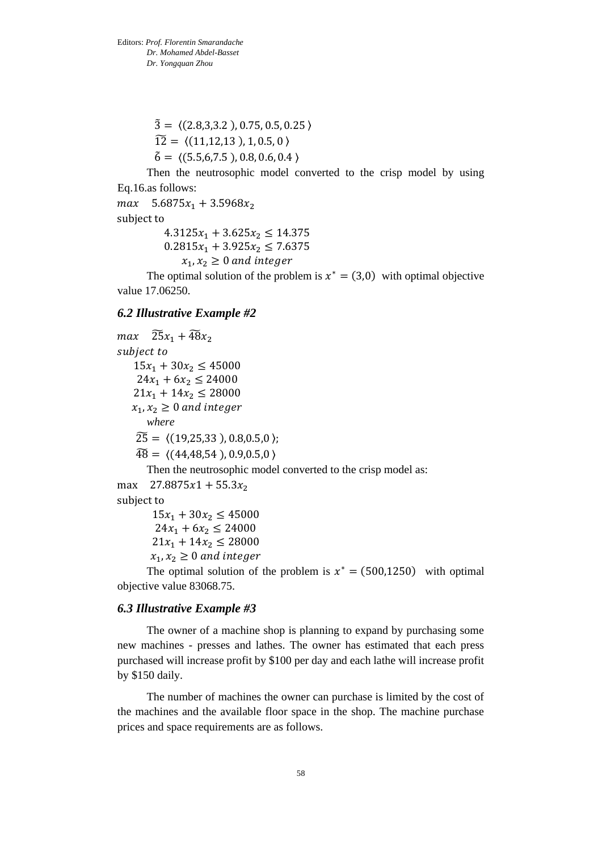$\tilde{3} = \langle (2.8,3,3.2), 0.75, 0.5, 0.25 \rangle$  $\widetilde{12} = \langle (11,12,13), 1, 0.5, 0 \rangle$  $\tilde{6} = \langle (5.5, 6.7.5), 0.8, 0.6, 0.4 \rangle$ 

Then the neutrosophic model converted to the crisp model by using Eq.16.as follows:

```
max 5.6875x_1 + 3.5968x_2subject to
4.3125x_1 + 3.625x_2 \le 14.3750.2815x_1 + 3.925x_2 \le 7.6375x_1, x_2 \geq 0 and integer
```
The optimal solution of the problem is  $x^* = (3,0)$  with optimal objective value 17.06250.

# *6.2 Illustrative Example #2*

 $max \quad 25x_1 + 48x_2$ subject to  $15x_1 + 30x_2 \le 45000$  $24x_1 + 6x_2 \le 24000$  $21x_1 + 14x_2 \le 28000$  $x_1, x_2 \geq 0$  and integer *where*   $\widetilde{25} = \langle (19, 25, 33), 0.8, 0.5, 0 \rangle$ ;  $\widetilde{48} = \langle (44, 48, 54), 0.9, 0.5, 0 \rangle$ Then the neutrosophic model converted to the crisp model as: max  $27.8875x1 + 55.3x_2$ 

subject to

 $15x_1 + 30x_2 \le 45000$  $24x_1 + 6x_2 \le 24000$  $21x_1 + 14x_2 \le 28000$  $x_1, x_2 \geq 0$  and integer

The optimal solution of the problem is  $x^* = (500, 1250)$  with optimal objective value 83068.75.

### *6.3 Illustrative Example #3*

The owner of a machine shop is planning to expand by purchasing some new machines - presses and lathes. The owner has estimated that each press purchased will increase profit by \$100 per day and each lathe will increase profit by \$150 daily.

The number of machines the owner can purchase is limited by the cost of the machines and the available floor space in the shop. The machine purchase prices and space requirements are as follows.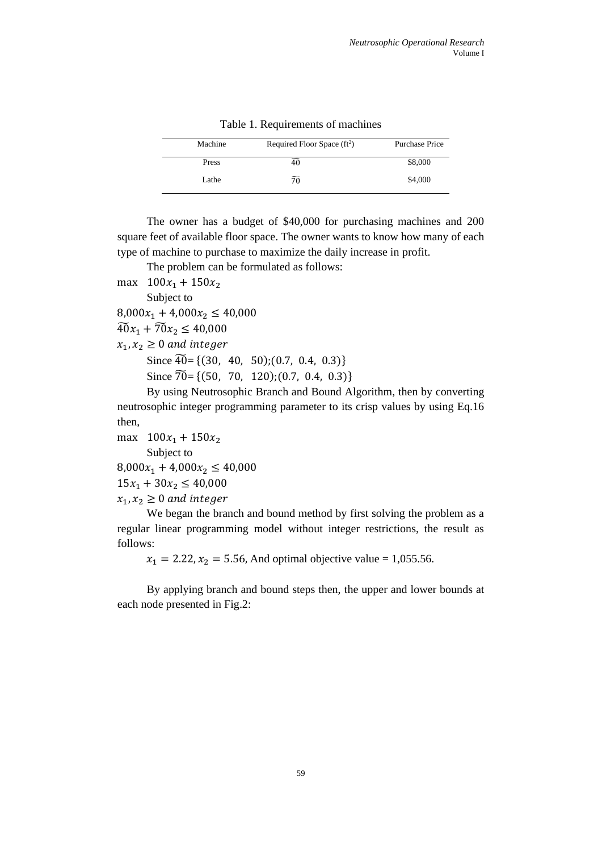| Machine | Required Floor Space $(ft^2)$ | Purchase Price |
|---------|-------------------------------|----------------|
| Press   | 40                            | \$8,000        |
| Lathe   | 70                            | \$4,000        |

Table 1. Requirements of machines

The owner has a budget of \$40,000 for purchasing machines and 200 square feet of available floor space. The owner wants to know how many of each type of machine to purchase to maximize the daily increase in profit.

The problem can be formulated as follows:

max  $100x_1 + 150x_2$ 

Subject to

 $8,000x_1 + 4,000x_2 \le 40,000$ 

 $\frac{40}{10}x_1 + 70x_2 \le 40,000$ 

 $x_1, x_2 \geq 0$  and integer

Since  $\widetilde{40} = \{(30, 40, 50); (0.7, 0.4, 0.3)\}$ 

Since  $\widetilde{70} = \{(50, 70, 120); (0.7, 0.4, 0.3)\}\$ 

By using Neutrosophic Branch and Bound Algorithm, then by converting neutrosophic integer programming parameter to its crisp values by using Eq.16 then,

max  $100x_1 + 150x_2$ Subject to

 $8,000x_1 + 4,000x_2 \le 40,000$ 

 $15x_1 + 30x_2 \le 40,000$ 

 $x_1, x_2 \geq 0$  and integer

We began the branch and bound method by first solving the problem as a regular linear programming model without integer restrictions, the result as follows:

 $x_1 = 2.22$ ,  $x_2 = 5.56$ , And optimal objective value = 1,055.56.

By applying branch and bound steps then, the upper and lower bounds at each node presented in Fig.2: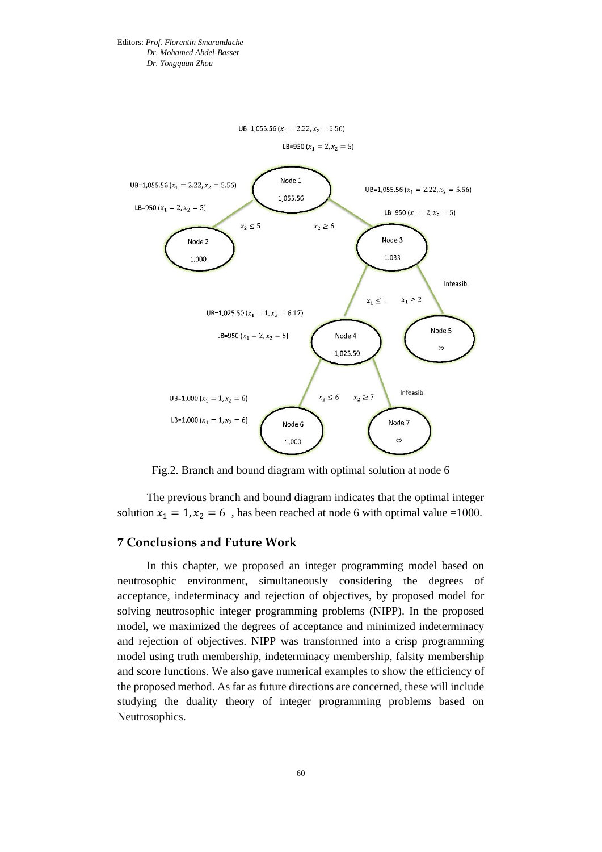

Fig.2. Branch and bound diagram with optimal solution at node 6

The previous branch and bound diagram indicates that the optimal integer solution  $x_1 = 1, x_2 = 6$ , has been reached at node 6 with optimal value =1000.

### **7 Conclusions and Future Work**

In this chapter, we proposed an integer programming model based on neutrosophic environment, simultaneously considering the degrees of acceptance, indeterminacy and rejection of objectives, by proposed model for solving neutrosophic integer programming problems (NIPP). In the proposed model, we maximized the degrees of acceptance and minimized indeterminacy and rejection of objectives. NIPP was transformed into a crisp programming model using truth membership, indeterminacy membership, falsity membership and score functions. We also gave numerical examples to show the efficiency of the proposed method. As far as future directions are concerned, these will include studying the duality theory of integer programming problems based on Neutrosophics.